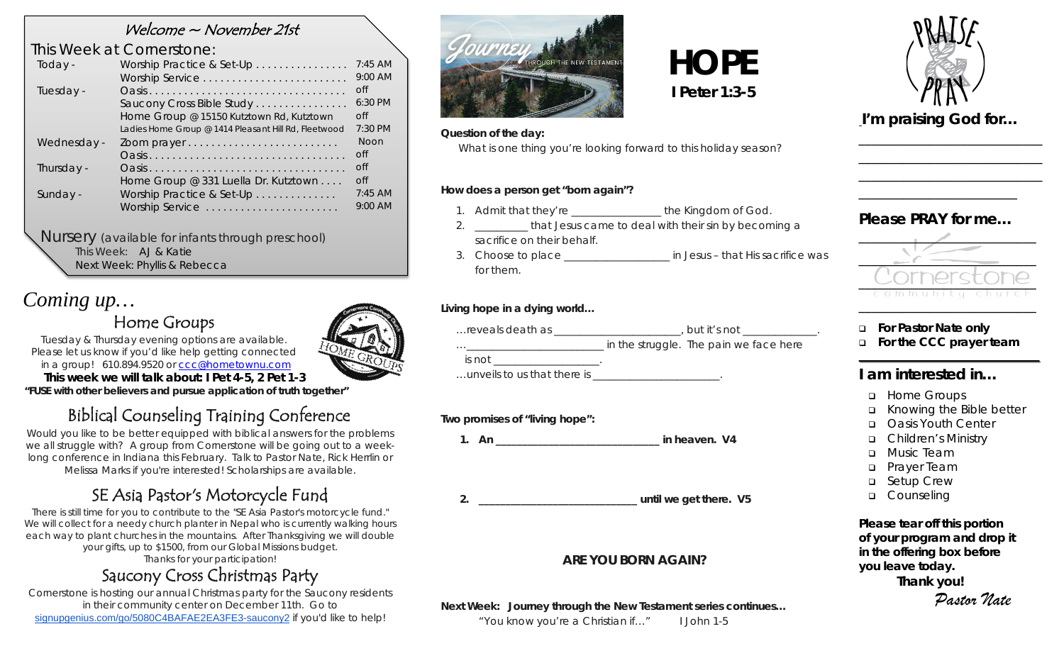## Welcome ~ November 21st

### *This Week at Cornerstone:*

| Today -     | Worship Practice & Set-Up                            | $7:45$ AM      |
|-------------|------------------------------------------------------|----------------|
|             | Worship Service                                      | $9:00$ AM      |
| Tuesday -   |                                                      | $\overline{C}$ |
|             | Saucony Cross Bible Study                            | 6:30 PM        |
|             | Home Group @ 15150 Kutztown Rd, Kutztown             | <b>off</b>     |
|             | Ladies Home Group @ 1414 Pleasant Hill Rd, Fleetwood | 7:30 PM        |
| Wednesday - |                                                      | <b>Noon</b>    |
|             |                                                      | $\int$         |
| Thursday -  |                                                      | $\int$         |
|             | Home Group @ 331 Luella Dr. Kutztown                 | <b>off</b>     |
| Sunday -    | Worship Practice & Set-Up                            | $7:45$ AM      |
|             | Worship Service                                      | $9:00$ AM      |
|             |                                                      |                |

*Nursery (available for infants through preschool)* This Week: AJ & Katie

Next Week: Phyllis & Rebecca

## *Coming up…*



Tuesday & Thursday evening options are available. Please let us know if you'd like help getting connected in a group! 610.894.9520 or [ccc@hometownu.com](mailto:ccc@hometownu.com)

Home Groups

**This week we will talk about: I Pet 4-5, 2 Pet 1-3** *"FUSE with other believers and pursue application of truth together"*

# Biblical Counseling Training Conference

Would you like to be better equipped with biblical answers for the problems we all struggle with? A group from Cornerstone will be going out to a weeklong conference in Indiana this February. Talk to Pastor Nate, Rick Herrlin or Melissa Marks if you're interested! Scholarships are available.

## SE Asia Pastor's Motorcycle Fund

There is still time for you to contribute to the "SE Asia Pastor's motorcycle fund." We will collect for a needy church planter in Nepal who is currently walking hours each way to plant churches in the mountains. After Thanksgiving we will double your gifts, up to \$1500, from our Global Missions budget. Thanks for your participation!

## Saucony Cross Christmas Party

Cornerstone is hosting our annual Christmas party for the Saucony residents in their community center on December 11th. Go to [signupgenius.com/go/5080C4BAFAE2EA3FE3-saucony2](https://www.signupgenius.com/go/5080C4BAFAE2EA3FE3-saucony2) if you'd like to help!



#### **Question of the day:**

*What is one thing you're looking forward to this holiday season?*

#### **How does a person get "born again"?**

- 1. Admit that they're \_\_\_\_\_\_\_\_\_\_\_\_\_\_\_\_\_ the Kingdom of God.
- 2. \_\_\_\_\_\_\_\_\_\_ that Jesus came to deal with their sin by becoming a sacrifice on their behalf.
- 3. Choose to place  $\qquad \qquad$  in Jesus that His sacrifice was for them.

**HOPE** 

#### **Living hope in a dying world…**

| reveals death as | hut it's not                           |
|------------------|----------------------------------------|
|                  | in the struggle. The pain we face here |

 $is not$ 

…unveils to us that there is \_\_\_\_\_\_\_\_\_\_\_\_\_\_\_\_\_\_\_\_\_\_\_\_.

#### **Two promises of "living hope":**

**1. An \_\_\_\_\_\_\_\_\_\_\_\_\_\_\_\_\_\_\_\_\_\_\_\_\_\_\_\_\_\_\_ in heaven. V4**

**2. \_\_\_\_\_\_\_\_\_\_\_\_\_\_\_\_\_\_\_\_\_\_\_\_\_\_\_\_\_\_ until we get there. V5**

#### **ARE YOU BORN AGAIN?**

#### **Next Week: Journey through the New Testament series continues…**

*"You know you're a Christian if…" I John 1-5* 



*I'm praising God for…* 

\_\_\_\_\_\_\_\_\_\_\_\_\_\_\_\_\_\_\_\_\_\_\_\_\_\_\_\_\_ \_\_\_\_\_\_\_\_\_\_\_\_\_\_\_\_\_\_\_\_\_\_\_\_\_\_\_\_\_ \_\_\_\_\_\_\_\_\_\_\_\_\_\_\_\_\_\_\_\_\_\_\_\_\_\_\_\_\_

### *Please PRAY for me…*

\_\_\_\_\_\_\_\_\_\_\_\_\_\_\_\_\_\_\_\_\_\_\_\_\_



- **For Pastor Nate only**
- **For the CCC prayer team**

### **I am interested in…**

- □ Home Groups
- Knowing the Bible better
- Oasis Youth Center
- Children's Ministry
- D Music Team
- **D** Prayer Team
- □ Setup Crew
- **Q** Counseling

*Please tear off this portion of your program and drop it in the offering box before you leave today.* **Thank you!**

*Pastor Nate*